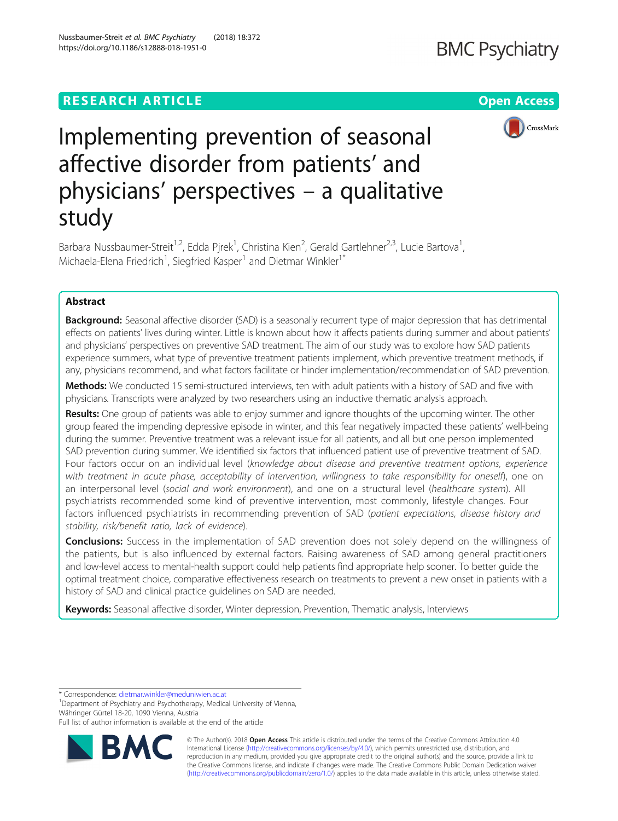## **RESEARCH ARTICLE Example 2018 12:30 THE Open Access**



# Implementing prevention of seasonal affective disorder from patients' and physicians' perspectives – a qualitative study

Barbara Nussbaumer-Streit<sup>1,2</sup>, Edda Pjrek<sup>1</sup>, Christina Kien<sup>2</sup>, Gerald Gartlehner<sup>2,3</sup>, Lucie Bartova<sup>1</sup> , Michaela-Elena Friedrich<sup>1</sup>, Siegfried Kasper<sup>1</sup> and Dietmar Winkler<sup>1\*</sup>

## Abstract

Background: Seasonal affective disorder (SAD) is a seasonally recurrent type of major depression that has detrimental effects on patients' lives during winter. Little is known about how it affects patients during summer and about patients' and physicians' perspectives on preventive SAD treatment. The aim of our study was to explore how SAD patients experience summers, what type of preventive treatment patients implement, which preventive treatment methods, if any, physicians recommend, and what factors facilitate or hinder implementation/recommendation of SAD prevention.

Methods: We conducted 15 semi-structured interviews, ten with adult patients with a history of SAD and five with physicians. Transcripts were analyzed by two researchers using an inductive thematic analysis approach.

Results: One group of patients was able to enjoy summer and ignore thoughts of the upcoming winter. The other group feared the impending depressive episode in winter, and this fear negatively impacted these patients' well-being during the summer. Preventive treatment was a relevant issue for all patients, and all but one person implemented SAD prevention during summer. We identified six factors that influenced patient use of preventive treatment of SAD. Four factors occur on an individual level (knowledge about disease and preventive treatment options, experience with treatment in acute phase, acceptability of intervention, willingness to take responsibility for oneself), one on an interpersonal level (social and work environment), and one on a structural level (healthcare system). All psychiatrists recommended some kind of preventive intervention, most commonly, lifestyle changes. Four factors influenced psychiatrists in recommending prevention of SAD (patient expectations, disease history and stability, risk/benefit ratio, lack of evidence).

**Conclusions:** Success in the implementation of SAD prevention does not solely depend on the willingness of the patients, but is also influenced by external factors. Raising awareness of SAD among general practitioners and low-level access to mental-health support could help patients find appropriate help sooner. To better guide the optimal treatment choice, comparative effectiveness research on treatments to prevent a new onset in patients with a history of SAD and clinical practice guidelines on SAD are needed.

Keywords: Seasonal affective disorder, Winter depression, Prevention, Thematic analysis, Interviews

\* Correspondence: [dietmar.winkler@meduniwien.ac.at](mailto:dietmar.winkler@meduniwien.ac.at) <sup>1</sup>

<sup>1</sup>Department of Psychiatry and Psychotherapy, Medical University of Vienna, Währinger Gürtel 18-20, 1090 Vienna, Austria

Full list of author information is available at the end of the article



© The Author(s). 2018 Open Access This article is distributed under the terms of the Creative Commons Attribution 4.0 International License [\(http://creativecommons.org/licenses/by/4.0/](http://creativecommons.org/licenses/by/4.0/)), which permits unrestricted use, distribution, and reproduction in any medium, provided you give appropriate credit to the original author(s) and the source, provide a link to the Creative Commons license, and indicate if changes were made. The Creative Commons Public Domain Dedication waiver [\(http://creativecommons.org/publicdomain/zero/1.0/](http://creativecommons.org/publicdomain/zero/1.0/)) applies to the data made available in this article, unless otherwise stated.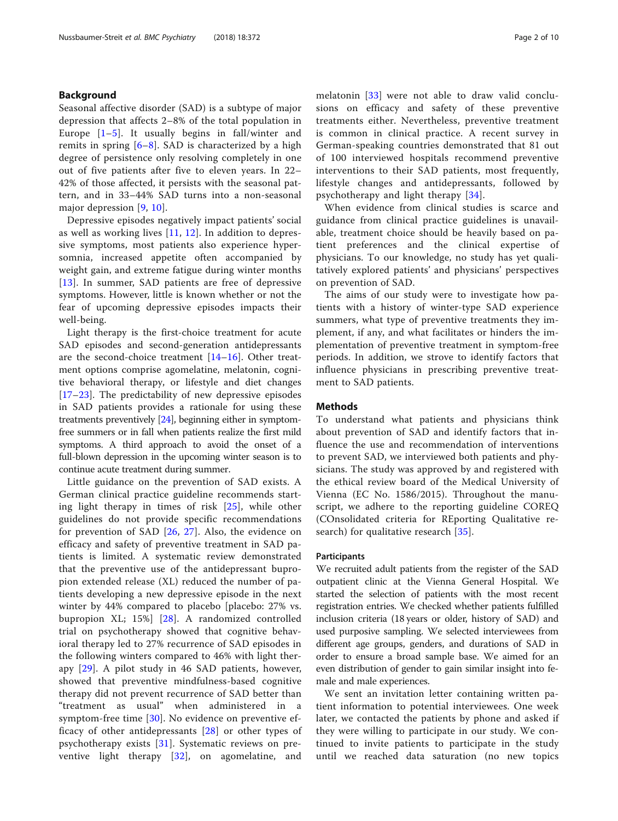## Background

Seasonal affective disorder (SAD) is a subtype of major depression that affects 2–8% of the total population in Europe  $[1-5]$  $[1-5]$  $[1-5]$  $[1-5]$  $[1-5]$ . It usually begins in fall/winter and remits in spring  $[6-8]$  $[6-8]$  $[6-8]$  $[6-8]$  $[6-8]$ . SAD is characterized by a high degree of persistence only resolving completely in one out of five patients after five to eleven years. In 22– 42% of those affected, it persists with the seasonal pattern, and in 33–44% SAD turns into a non-seasonal major depression [[9,](#page-8-0) [10\]](#page-8-0).

Depressive episodes negatively impact patients' social as well as working lives [[11,](#page-9-0) [12\]](#page-9-0). In addition to depressive symptoms, most patients also experience hypersomnia, increased appetite often accompanied by weight gain, and extreme fatigue during winter months [[13](#page-9-0)]. In summer, SAD patients are free of depressive symptoms. However, little is known whether or not the fear of upcoming depressive episodes impacts their well-being.

Light therapy is the first-choice treatment for acute SAD episodes and second-generation antidepressants are the second-choice treatment  $[14–16]$  $[14–16]$  $[14–16]$  $[14–16]$ . Other treatment options comprise agomelatine, melatonin, cognitive behavioral therapy, or lifestyle and diet changes [[17](#page-9-0)–[23\]](#page-9-0). The predictability of new depressive episodes in SAD patients provides a rationale for using these treatments preventively [\[24\]](#page-9-0), beginning either in symptomfree summers or in fall when patients realize the first mild symptoms. A third approach to avoid the onset of a full-blown depression in the upcoming winter season is to continue acute treatment during summer.

Little guidance on the prevention of SAD exists. A German clinical practice guideline recommends starting light therapy in times of risk [[25\]](#page-9-0), while other guidelines do not provide specific recommendations for prevention of SAD [[26](#page-9-0), [27](#page-9-0)]. Also, the evidence on efficacy and safety of preventive treatment in SAD patients is limited. A systematic review demonstrated that the preventive use of the antidepressant bupropion extended release (XL) reduced the number of patients developing a new depressive episode in the next winter by 44% compared to placebo [placebo: 27% vs. bupropion XL; 15%] [[28](#page-9-0)]. A randomized controlled trial on psychotherapy showed that cognitive behavioral therapy led to 27% recurrence of SAD episodes in the following winters compared to 46% with light therapy [[29](#page-9-0)]. A pilot study in 46 SAD patients, however, showed that preventive mindfulness-based cognitive therapy did not prevent recurrence of SAD better than "treatment as usual" when administered in a symptom-free time [[30](#page-9-0)]. No evidence on preventive efficacy of other antidepressants [[28\]](#page-9-0) or other types of psychotherapy exists [[31](#page-9-0)]. Systematic reviews on preventive light therapy [[32](#page-9-0)], on agomelatine, and melatonin [[33](#page-9-0)] were not able to draw valid conclusions on efficacy and safety of these preventive treatments either. Nevertheless, preventive treatment is common in clinical practice. A recent survey in German-speaking countries demonstrated that 81 out of 100 interviewed hospitals recommend preventive interventions to their SAD patients, most frequently, lifestyle changes and antidepressants, followed by psychotherapy and light therapy [[34\]](#page-9-0).

When evidence from clinical studies is scarce and guidance from clinical practice guidelines is unavailable, treatment choice should be heavily based on patient preferences and the clinical expertise of physicians. To our knowledge, no study has yet qualitatively explored patients' and physicians' perspectives on prevention of SAD.

The aims of our study were to investigate how patients with a history of winter-type SAD experience summers, what type of preventive treatments they implement, if any, and what facilitates or hinders the implementation of preventive treatment in symptom-free periods. In addition, we strove to identify factors that influence physicians in prescribing preventive treatment to SAD patients.

## Methods

To understand what patients and physicians think about prevention of SAD and identify factors that influence the use and recommendation of interventions to prevent SAD, we interviewed both patients and physicians. The study was approved by and registered with the ethical review board of the Medical University of Vienna (EC No. 1586/2015). Throughout the manuscript, we adhere to the reporting guideline COREQ (COnsolidated criteria for REporting Qualitative research) for qualitative research [\[35](#page-9-0)].

## Participants

We recruited adult patients from the register of the SAD outpatient clinic at the Vienna General Hospital. We started the selection of patients with the most recent registration entries. We checked whether patients fulfilled inclusion criteria (18 years or older, history of SAD) and used purposive sampling. We selected interviewees from different age groups, genders, and durations of SAD in order to ensure a broad sample base. We aimed for an even distribution of gender to gain similar insight into female and male experiences.

We sent an invitation letter containing written patient information to potential interviewees. One week later, we contacted the patients by phone and asked if they were willing to participate in our study. We continued to invite patients to participate in the study until we reached data saturation (no new topics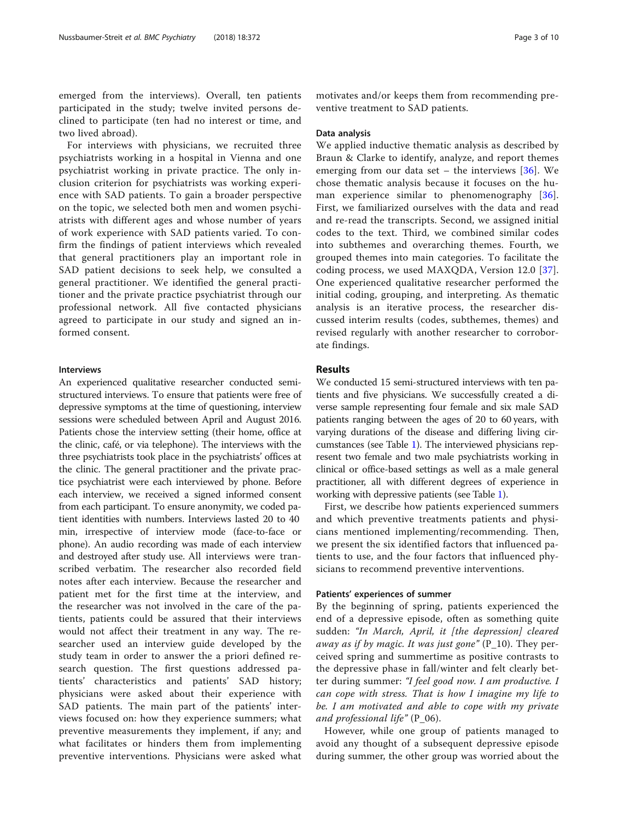emerged from the interviews). Overall, ten patients participated in the study; twelve invited persons declined to participate (ten had no interest or time, and two lived abroad).

For interviews with physicians, we recruited three psychiatrists working in a hospital in Vienna and one psychiatrist working in private practice. The only inclusion criterion for psychiatrists was working experience with SAD patients. To gain a broader perspective on the topic, we selected both men and women psychiatrists with different ages and whose number of years of work experience with SAD patients varied. To confirm the findings of patient interviews which revealed that general practitioners play an important role in SAD patient decisions to seek help, we consulted a general practitioner. We identified the general practitioner and the private practice psychiatrist through our professional network. All five contacted physicians agreed to participate in our study and signed an informed consent.

## Interviews

An experienced qualitative researcher conducted semistructured interviews. To ensure that patients were free of depressive symptoms at the time of questioning, interview sessions were scheduled between April and August 2016. Patients chose the interview setting (their home, office at the clinic, café, or via telephone). The interviews with the three psychiatrists took place in the psychiatrists' offices at the clinic. The general practitioner and the private practice psychiatrist were each interviewed by phone. Before each interview, we received a signed informed consent from each participant. To ensure anonymity, we coded patient identities with numbers. Interviews lasted 20 to 40 min, irrespective of interview mode (face-to-face or phone). An audio recording was made of each interview and destroyed after study use. All interviews were transcribed verbatim. The researcher also recorded field notes after each interview. Because the researcher and patient met for the first time at the interview, and the researcher was not involved in the care of the patients, patients could be assured that their interviews would not affect their treatment in any way. The researcher used an interview guide developed by the study team in order to answer the a priori defined research question. The first questions addressed patients' characteristics and patients' SAD history; physicians were asked about their experience with SAD patients. The main part of the patients' interviews focused on: how they experience summers; what preventive measurements they implement, if any; and what facilitates or hinders them from implementing preventive interventions. Physicians were asked what

motivates and/or keeps them from recommending preventive treatment to SAD patients.

## Data analysis

We applied inductive thematic analysis as described by Braun & Clarke to identify, analyze, and report themes emerging from our data set – the interviews  $[36]$  $[36]$ . We chose thematic analysis because it focuses on the human experience similar to phenomenography [[36](#page-9-0)]. First, we familiarized ourselves with the data and read and re-read the transcripts. Second, we assigned initial codes to the text. Third, we combined similar codes into subthemes and overarching themes. Fourth, we grouped themes into main categories. To facilitate the coding process, we used MAXQDA, Version 12.0 [[37](#page-9-0)]. One experienced qualitative researcher performed the initial coding, grouping, and interpreting. As thematic analysis is an iterative process, the researcher discussed interim results (codes, subthemes, themes) and revised regularly with another researcher to corroborate findings.

## Results

We conducted 15 semi-structured interviews with ten patients and five physicians. We successfully created a diverse sample representing four female and six male SAD patients ranging between the ages of 20 to 60 years, with varying durations of the disease and differing living circumstances (see Table [1](#page-3-0)). The interviewed physicians represent two female and two male psychiatrists working in clinical or office-based settings as well as a male general practitioner, all with different degrees of experience in working with depressive patients (see Table [1\)](#page-3-0).

First, we describe how patients experienced summers and which preventive treatments patients and physicians mentioned implementing/recommending. Then, we present the six identified factors that influenced patients to use, and the four factors that influenced physicians to recommend preventive interventions.

## Patients' experiences of summer

By the beginning of spring, patients experienced the end of a depressive episode, often as something quite sudden: "In March, April, it [the depression] cleared away as if by magic. It was just gone"  $(P_10)$ . They perceived spring and summertime as positive contrasts to the depressive phase in fall/winter and felt clearly better during summer: "I feel good now. I am productive. I can cope with stress. That is how I imagine my life to be. I am motivated and able to cope with my private and professional life"  $(P_06)$ .

However, while one group of patients managed to avoid any thought of a subsequent depressive episode during summer, the other group was worried about the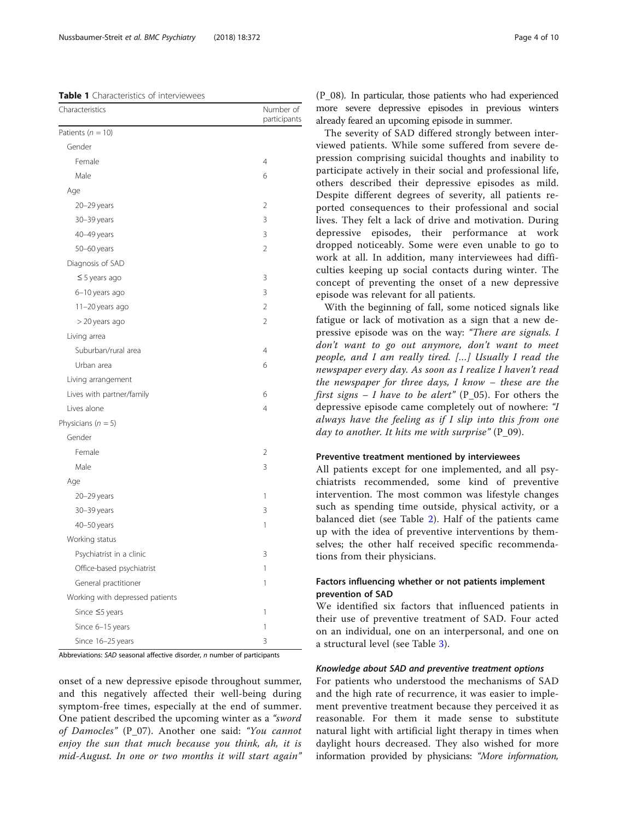<span id="page-3-0"></span>Table 1 Characteristics of interviewees

| Characteristics                 | Number of<br>participants |
|---------------------------------|---------------------------|
| Patients ( $n = 10$ )           |                           |
| Gender                          |                           |
| Female                          | $\overline{4}$            |
| Male                            | 6                         |
| Age                             |                           |
| 20-29 years                     | 2                         |
| 30-39 years                     | 3                         |
| 40-49 years                     | 3                         |
| 50-60 years                     | 2                         |
| Diagnosis of SAD                |                           |
| $\leq$ 5 years ago              | 3                         |
| 6-10 years ago                  | 3                         |
| 11-20 years ago                 | $\overline{2}$            |
| > 20 years ago                  | 2                         |
| Living arrea                    |                           |
| Suburban/rural area             | $\overline{4}$            |
| Urban area                      | 6                         |
| Living arrangement              |                           |
| Lives with partner/family       | 6                         |
| Lives alone                     | 4                         |
| Physicians ( $n = 5$ )          |                           |
| Gender                          |                           |
| Female                          | 2                         |
| Male                            | 3                         |
| Age                             |                           |
| 20-29 years                     | 1                         |
| 30-39 years                     | 3                         |
| 40-50 years                     | 1                         |
| Working status                  |                           |
| Psychiatrist in a clinic        | 3                         |
| Office-based psychiatrist       | 1                         |
| General practitioner            | 1                         |
| Working with depressed patients |                           |
| Since ≤5 years                  | 1                         |
| Since 6-15 years                | 1                         |
| Since 16-25 years               | 3                         |

Abbreviations: SAD seasonal affective disorder, n number of participants

onset of a new depressive episode throughout summer, and this negatively affected their well-being during symptom-free times, especially at the end of summer. One patient described the upcoming winter as a "sword of Damocles" (P\_07). Another one said: "You cannot enjoy the sun that much because you think, ah, it is mid-August. In one or two months it will start again" (P\_08). In particular, those patients who had experienced more severe depressive episodes in previous winters already feared an upcoming episode in summer.

The severity of SAD differed strongly between interviewed patients. While some suffered from severe depression comprising suicidal thoughts and inability to participate actively in their social and professional life, others described their depressive episodes as mild. Despite different degrees of severity, all patients reported consequences to their professional and social lives. They felt a lack of drive and motivation. During depressive episodes, their performance at work dropped noticeably. Some were even unable to go to work at all. In addition, many interviewees had difficulties keeping up social contacts during winter. The concept of preventing the onset of a new depressive episode was relevant for all patients.

With the beginning of fall, some noticed signals like fatigue or lack of motivation as a sign that a new depressive episode was on the way: "There are signals. I don't want to go out anymore, don't want to meet people, and I am really tired. […] Usually I read the newspaper every day. As soon as I realize I haven't read the newspaper for three days, I know  $-$  these are the first signs – I have to be alert" ( $P_0$ 5). For others the depressive episode came completely out of nowhere: "I always have the feeling as if I slip into this from one day to another. It hits me with surprise"  $(P_0, Q_0)$ .

### Preventive treatment mentioned by interviewees

All patients except for one implemented, and all psychiatrists recommended, some kind of preventive intervention. The most common was lifestyle changes such as spending time outside, physical activity, or a balanced diet (see Table [2\)](#page-4-0). Half of the patients came up with the idea of preventive interventions by themselves; the other half received specific recommendations from their physicians.

## Factors influencing whether or not patients implement prevention of SAD

We identified six factors that influenced patients in their use of preventive treatment of SAD. Four acted on an individual, one on an interpersonal, and one on a structural level (see Table [3](#page-4-0)).

## Knowledge about SAD and preventive treatment options

For patients who understood the mechanisms of SAD and the high rate of recurrence, it was easier to implement preventive treatment because they perceived it as reasonable. For them it made sense to substitute natural light with artificial light therapy in times when daylight hours decreased. They also wished for more information provided by physicians: "More information,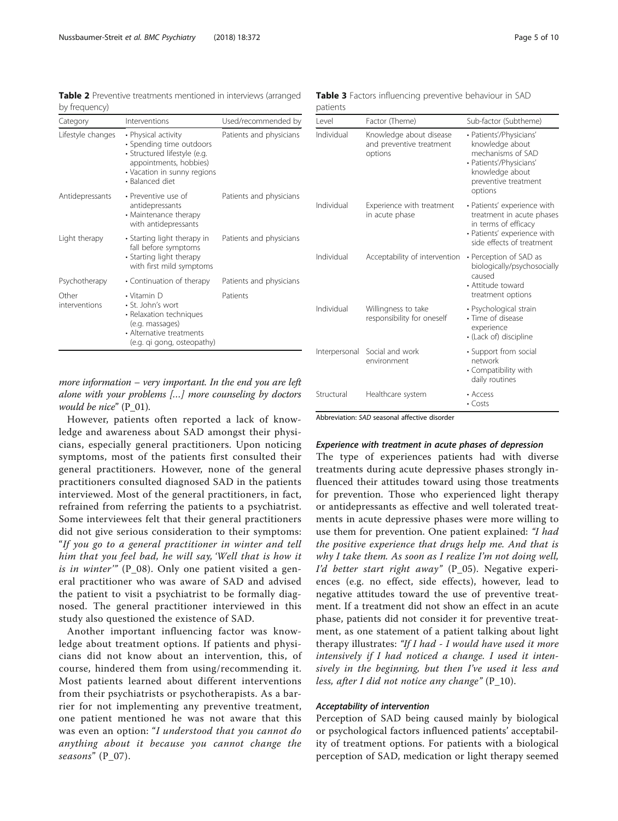<span id="page-4-0"></span>Table 2 Preventive treatments mentioned in interviews (arranged by frequency)

| Category               | Interventions                                                                                                                                               | Used/recommended by     |
|------------------------|-------------------------------------------------------------------------------------------------------------------------------------------------------------|-------------------------|
| Lifestyle changes      | • Physical activity<br>• Spending time outdoors<br>· Structured lifestyle (e.g.<br>appointments, hobbies)<br>• Vacation in sunny regions<br>• Balanced diet | Patients and physicians |
| Antidepressants        | • Preventive use of<br>antidepressants<br>• Maintenance therapy<br>with antidepressants                                                                     | Patients and physicians |
| Light therapy          | • Starting light therapy in<br>fall before symptoms<br>• Starting light therapy<br>with first mild symptoms                                                 | Patients and physicians |
| Psychotherapy          | • Continuation of therapy                                                                                                                                   | Patients and physicians |
| Other<br>interventions | $\cdot$ Vitamin D<br>• St. John's wort<br>• Relaxation techniques<br>(e.g. massages)<br>• Alternative treatments<br>(e.g. qi gong, osteopathy)              | Patients                |

## more information – very important. In the end you are left alone with your problems […] more counseling by doctors would be nice"  $(P_01)$ .

However, patients often reported a lack of knowledge and awareness about SAD amongst their physicians, especially general practitioners. Upon noticing symptoms, most of the patients first consulted their general practitioners. However, none of the general practitioners consulted diagnosed SAD in the patients interviewed. Most of the general practitioners, in fact, refrained from referring the patients to a psychiatrist. Some interviewees felt that their general practitioners did not give serious consideration to their symptoms: "If you go to a general practitioner in winter and tell him that you feel bad, he will say, 'Well that is how it is in winter'"  $(P_08)$ . Only one patient visited a general practitioner who was aware of SAD and advised the patient to visit a psychiatrist to be formally diagnosed. The general practitioner interviewed in this study also questioned the existence of SAD.

Another important influencing factor was knowledge about treatment options. If patients and physicians did not know about an intervention, this, of course, hindered them from using/recommending it. Most patients learned about different interventions from their psychiatrists or psychotherapists. As a barrier for not implementing any preventive treatment, one patient mentioned he was not aware that this was even an option: "I understood that you cannot do anything about it because you cannot change the seasons"  $(P_07)$ .

| patients      |                                                                |                                                                                                                                                  |
|---------------|----------------------------------------------------------------|--------------------------------------------------------------------------------------------------------------------------------------------------|
| l evel        | Factor (Theme)                                                 | Sub-factor (Subtheme)                                                                                                                            |
| Individual    | Knowledge about disease<br>and preventive treatment<br>options | • Patients'/Physicians'<br>knowledge about<br>mechanisms of SAD<br>• Patients'/Physicians'<br>knowledge about<br>preventive treatment<br>options |
| Individual    | Experience with treatment<br>in acute phase                    | • Patients' experience with<br>treatment in acute phases<br>in terms of efficacy<br>· Patients' experience with<br>side effects of treatment     |
| Individual    | Acceptability of intervention                                  | • Perception of SAD as<br>biologically/psychosocially<br>caused<br>• Attitude toward<br>treatment options                                        |
| Individual    | Willingness to take<br>responsibility for oneself              | • Psychological strain<br>· Time of disease<br>experience<br>· (Lack of) discipline                                                              |
| Interpersonal | Social and work<br>environment                                 | • Support from social<br>network<br>• Compatibility with<br>daily routines                                                                       |
| Structural    | Healthcare system                                              | • Access<br>$\cdot$ Costs                                                                                                                        |

Table 3 Factors influencing preventive behaviour in SAD

Abbreviation: SAD seasonal affective disorder

## Experience with treatment in acute phases of depression

The type of experiences patients had with diverse treatments during acute depressive phases strongly influenced their attitudes toward using those treatments for prevention. Those who experienced light therapy or antidepressants as effective and well tolerated treatments in acute depressive phases were more willing to use them for prevention. One patient explained: "I had the positive experience that drugs help me. And that is why I take them. As soon as I realize I'm not doing well, I'd better start right away" (P\_05). Negative experiences (e.g. no effect, side effects), however, lead to negative attitudes toward the use of preventive treatment. If a treatment did not show an effect in an acute phase, patients did not consider it for preventive treatment, as one statement of a patient talking about light therapy illustrates: "If I had - I would have used it more intensively if I had noticed a change. I used it intensively in the beginning, but then I've used it less and less, after I did not notice any change"  $(P_10)$ .

## Acceptability of intervention

Perception of SAD being caused mainly by biological or psychological factors influenced patients' acceptability of treatment options. For patients with a biological perception of SAD, medication or light therapy seemed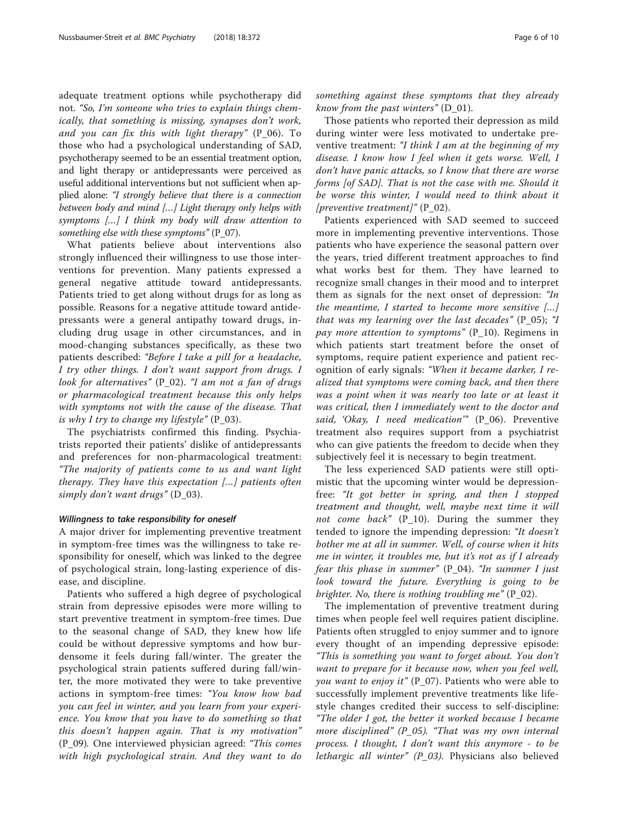adequate treatment options while psychotherapy did not. "So, I'm someone who tries to explain things chemically, that something is missing, synapses don't work, and you can fix this with light therapy"  $(P_06)$ . To those who had a psychological understanding of SAD, psychotherapy seemed to be an essential treatment option, and light therapy or antidepressants were perceived as useful additional interventions but not sufficient when applied alone: "I strongly believe that there is a connection between body and mind […] Light therapy only helps with symptoms […] I think my body will draw attention to something else with these symptoms"  $(P_07)$ .

What patients believe about interventions also strongly influenced their willingness to use those interventions for prevention. Many patients expressed a general negative attitude toward antidepressants. Patients tried to get along without drugs for as long as possible. Reasons for a negative attitude toward antidepressants were a general antipathy toward drugs, including drug usage in other circumstances, and in mood-changing substances specifically, as these two patients described: "Before I take a pill for a headache, I try other things. I don't want support from drugs. I look for alternatives"  $(P_02)$ . "I am not a fan of drugs or pharmacological treatment because this only helps with symptoms not with the cause of the disease. That is why I try to change my lifestyle"  $(P_03)$ .

The psychiatrists confirmed this finding. Psychiatrists reported their patients' dislike of antidepressants and preferences for non-pharmacological treatment: "The majority of patients come to us and want light therapy. They have this expectation  $[...]$  patients often simply don't want drugs" (D\_03).

## Willingness to take responsibility for oneself

A major driver for implementing preventive treatment in symptom-free times was the willingness to take responsibility for oneself, which was linked to the degree of psychological strain, long-lasting experience of disease, and discipline.

Patients who suffered a high degree of psychological strain from depressive episodes were more willing to start preventive treatment in symptom-free times. Due to the seasonal change of SAD, they knew how life could be without depressive symptoms and how burdensome it feels during fall/winter. The greater the psychological strain patients suffered during fall/winter, the more motivated they were to take preventive actions in symptom-free times: "You know how bad you can feel in winter, and you learn from your experience. You know that you have to do something so that this doesn't happen again. That is my motivation" (P\_09). One interviewed physician agreed: "This comes with high psychological strain. And they want to do something against these symptoms that they already know from the past winters"  $(D_01)$ .

Those patients who reported their depression as mild during winter were less motivated to undertake preventive treatment: "I think I am at the beginning of my disease. I know how I feel when it gets worse. Well, I don't have panic attacks, so I know that there are worse forms [of SAD]. That is not the case with me. Should it be worse this winter, I would need to think about it [preventive treatment]"  $(P_02)$ .

Patients experienced with SAD seemed to succeed more in implementing preventive interventions. Those patients who have experience the seasonal pattern over the years, tried different treatment approaches to find what works best for them. They have learned to recognize small changes in their mood and to interpret them as signals for the next onset of depression: "In the meantime, I started to become more sensitive  $[...]$ that was my learning over the last decades"  $(P_0, 05)$ ; "I pay more attention to symptoms"  $(P_10)$ . Regimens in which patients start treatment before the onset of symptoms, require patient experience and patient recognition of early signals: "When it became darker, I realized that symptoms were coming back, and then there was a point when it was nearly too late or at least it was critical, then I immediately went to the doctor and said, 'Okay, I need medication'" (P\_06). Preventive treatment also requires support from a psychiatrist who can give patients the freedom to decide when they subjectively feel it is necessary to begin treatment.

The less experienced SAD patients were still optimistic that the upcoming winter would be depressionfree: "It got better in spring, and then I stopped treatment and thought, well, maybe next time it will not come back"  $(P_10)$ . During the summer they tended to ignore the impending depression: "It doesn't bother me at all in summer. Well, of course when it hits me in winter, it troubles me, but it's not as if I already fear this phase in summer"  $(P_04)$ . "In summer I just look toward the future. Everything is going to be brighter. No, there is nothing troubling me"  $(P_02)$ .

The implementation of preventive treatment during times when people feel well requires patient discipline. Patients often struggled to enjoy summer and to ignore every thought of an impending depressive episode: "This is something you want to forget about. You don't want to prepare for it because now, when you feel well, *you want to enjoy it"* ( $P_0$ 7). Patients who were able to successfully implement preventive treatments like lifestyle changes credited their success to self-discipline: "The older I got, the better it worked because I became more disciplined"  $(P_05)$ . "That was my own internal process. I thought, I don't want this anymore - to be *lethargic all winter" (P\_03).* Physicians also believed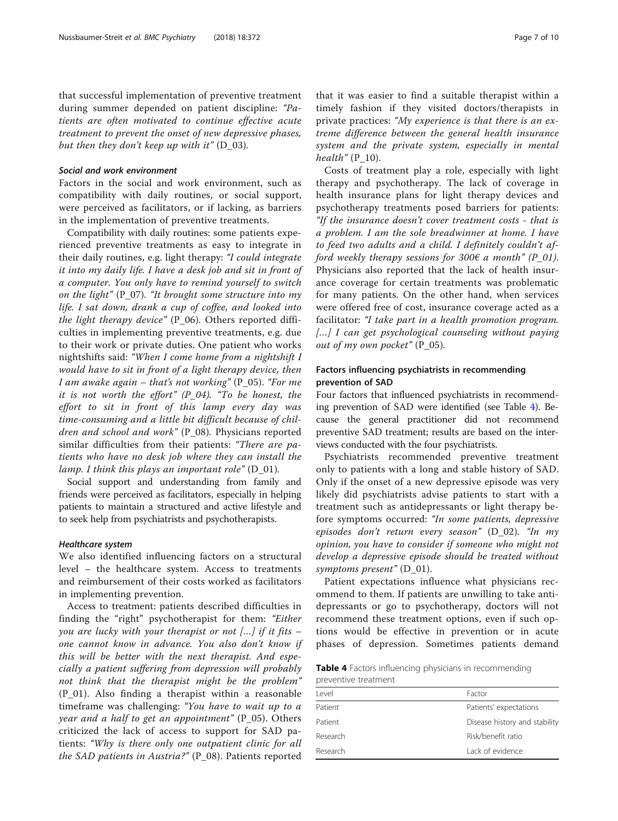that successful implementation of preventive treatment during summer depended on patient discipline: "Patients are often motivated to continue effective acute treatment to prevent the onset of new depressive phases, but then they don't keep up with it"  $(D_03)$ .

## Social and work environment

Factors in the social and work environment, such as compatibility with daily routines, or social support, were perceived as facilitators, or if lacking, as barriers in the implementation of preventive treatments.

Compatibility with daily routines: some patients experienced preventive treatments as easy to integrate in their daily routines, e.g. light therapy: "I could integrate it into my daily life. I have a desk job and sit in front of a computer. You only have to remind yourself to switch on the light"  $(P_07)$ . "It brought some structure into my life. I sat down, drank a cup of coffee, and looked into the light therapy device"  $(P_06)$ . Others reported difficulties in implementing preventive treatments, e.g. due to their work or private duties. One patient who works nightshifts said: "When I come home from a nightshift I would have to sit in front of a light therapy device, then I am awake again – that's not working"  $(P_05)$ . "For me it is not worth the effort"  $(P_04)$ . "To be honest, the effort to sit in front of this lamp every day was time-consuming and a little bit difficult because of children and school and work" (P\_08). Physicians reported similar difficulties from their patients: "There are patients who have no desk job where they can install the lamp. I think this plays an important role"  $(D_01)$ .

Social support and understanding from family and friends were perceived as facilitators, especially in helping patients to maintain a structured and active lifestyle and to seek help from psychiatrists and psychotherapists.

## Healthcare system

We also identified influencing factors on a structural level – the healthcare system. Access to treatments and reimbursement of their costs worked as facilitators in implementing prevention.

Access to treatment: patients described difficulties in finding the "right" psychotherapist for them: "Either you are lucky with your therapist or not  $\left[\ldots\right]$  if it fits  $$ one cannot know in advance. You also don't know if this will be better with the next therapist. And especially a patient suffering from depression will probably not think that the therapist might be the problem" (P\_01). Also finding a therapist within a reasonable timeframe was challenging: "You have to wait up to a *year and a half to get an appointment*"  $(P_05)$ . Others criticized the lack of access to support for SAD patients: "Why is there only one outpatient clinic for all the SAD patients in Austria?"  $(P_08)$ . Patients reported

that it was easier to find a suitable therapist within a timely fashion if they visited doctors/therapists in private practices: "My experience is that there is an extreme difference between the general health insurance system and the private system, especially in mental health"  $(P_10)$ .

Costs of treatment play a role, especially with light therapy and psychotherapy. The lack of coverage in health insurance plans for light therapy devices and psychotherapy treatments posed barriers for patients: "If the insurance doesn't cover treatment costs - that is a problem. I am the sole breadwinner at home. I have to feed two adults and a child. I definitely couldn't afford weekly therapy sessions for 300 $\epsilon$  a month" (P\_01). Physicians also reported that the lack of health insurance coverage for certain treatments was problematic for many patients. On the other hand, when services were offered free of cost, insurance coverage acted as a facilitator: "I take part in a health promotion program. [...] I can get psychological counseling without paying out of my own pocket" (P\_05).

## Factors influencing psychiatrists in recommending prevention of SAD

Four factors that influenced psychiatrists in recommending prevention of SAD were identified (see Table 4). Because the general practitioner did not recommend preventive SAD treatment; results are based on the interviews conducted with the four psychiatrists.

Psychiatrists recommended preventive treatment only to patients with a long and stable history of SAD. Only if the onset of a new depressive episode was very likely did psychiatrists advise patients to start with a treatment such as antidepressants or light therapy before symptoms occurred: "In some patients, depressive episodes don't return every season" (D\_02). "In my opinion, you have to consider if someone who might not develop a depressive episode should be treated without symptoms present" (D 01).

Patient expectations influence what physicians recommend to them. If patients are unwilling to take antidepressants or go to psychotherapy, doctors will not recommend these treatment options, even if such options would be effective in prevention or in acute phases of depression. Sometimes patients demand

Table 4 Factors influencing physicians in recommending preventive treatment

| l evel   | Factor                        |
|----------|-------------------------------|
| Patient  | Patients' expectations        |
| Patient  | Disease history and stability |
| Research | Risk/benefit ratio            |
| Research | Lack of evidence              |
|          |                               |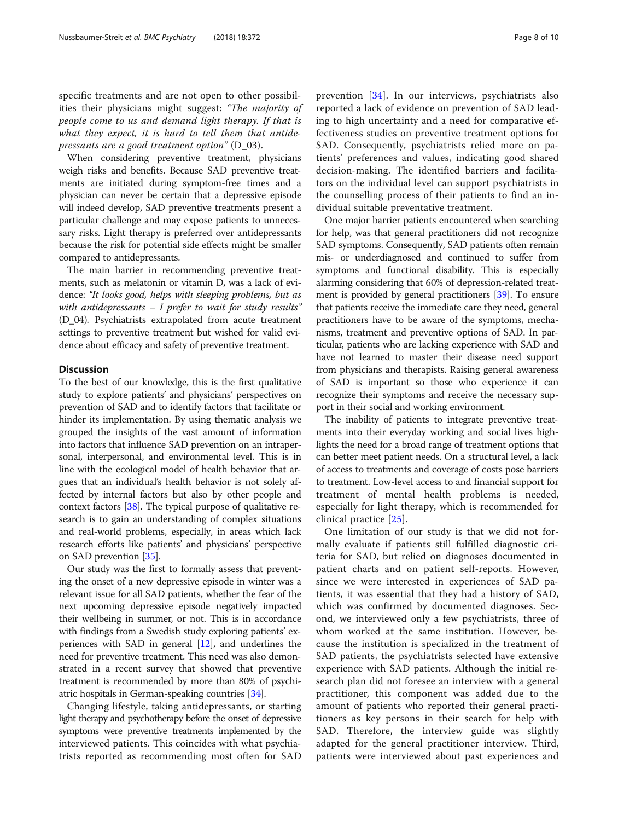specific treatments and are not open to other possibilities their physicians might suggest: "The majority of people come to us and demand light therapy. If that is what they expect, it is hard to tell them that antidepressants are a good treatment option" (D\_03).

When considering preventive treatment, physicians weigh risks and benefits. Because SAD preventive treatments are initiated during symptom-free times and a physician can never be certain that a depressive episode will indeed develop, SAD preventive treatments present a particular challenge and may expose patients to unnecessary risks. Light therapy is preferred over antidepressants because the risk for potential side effects might be smaller compared to antidepressants.

The main barrier in recommending preventive treatments, such as melatonin or vitamin D, was a lack of evidence: "It looks good, helps with sleeping problems, but as with antidepressants  $-$  I prefer to wait for study results" (D\_04). Psychiatrists extrapolated from acute treatment settings to preventive treatment but wished for valid evidence about efficacy and safety of preventive treatment.

## **Discussion**

To the best of our knowledge, this is the first qualitative study to explore patients' and physicians' perspectives on prevention of SAD and to identify factors that facilitate or hinder its implementation. By using thematic analysis we grouped the insights of the vast amount of information into factors that influence SAD prevention on an intrapersonal, interpersonal, and environmental level. This is in line with the ecological model of health behavior that argues that an individual's health behavior is not solely affected by internal factors but also by other people and context factors [[38](#page-9-0)]. The typical purpose of qualitative research is to gain an understanding of complex situations and real-world problems, especially, in areas which lack research efforts like patients' and physicians' perspective on SAD prevention [\[35\]](#page-9-0).

Our study was the first to formally assess that preventing the onset of a new depressive episode in winter was a relevant issue for all SAD patients, whether the fear of the next upcoming depressive episode negatively impacted their wellbeing in summer, or not. This is in accordance with findings from a Swedish study exploring patients' experiences with SAD in general [[12\]](#page-9-0), and underlines the need for preventive treatment. This need was also demonstrated in a recent survey that showed that preventive treatment is recommended by more than 80% of psychiatric hospitals in German-speaking countries [[34](#page-9-0)].

Changing lifestyle, taking antidepressants, or starting light therapy and psychotherapy before the onset of depressive symptoms were preventive treatments implemented by the interviewed patients. This coincides with what psychiatrists reported as recommending most often for SAD

prevention [[34\]](#page-9-0). In our interviews, psychiatrists also reported a lack of evidence on prevention of SAD leading to high uncertainty and a need for comparative effectiveness studies on preventive treatment options for SAD. Consequently, psychiatrists relied more on patients' preferences and values, indicating good shared decision-making. The identified barriers and facilitators on the individual level can support psychiatrists in the counselling process of their patients to find an individual suitable preventative treatment.

One major barrier patients encountered when searching for help, was that general practitioners did not recognize SAD symptoms. Consequently, SAD patients often remain mis- or underdiagnosed and continued to suffer from symptoms and functional disability. This is especially alarming considering that 60% of depression-related treatment is provided by general practitioners [\[39\]](#page-9-0). To ensure that patients receive the immediate care they need, general practitioners have to be aware of the symptoms, mechanisms, treatment and preventive options of SAD. In particular, patients who are lacking experience with SAD and have not learned to master their disease need support from physicians and therapists. Raising general awareness of SAD is important so those who experience it can recognize their symptoms and receive the necessary support in their social and working environment.

The inability of patients to integrate preventive treatments into their everyday working and social lives highlights the need for a broad range of treatment options that can better meet patient needs. On a structural level, a lack of access to treatments and coverage of costs pose barriers to treatment. Low-level access to and financial support for treatment of mental health problems is needed, especially for light therapy, which is recommended for clinical practice [\[25](#page-9-0)].

One limitation of our study is that we did not formally evaluate if patients still fulfilled diagnostic criteria for SAD, but relied on diagnoses documented in patient charts and on patient self-reports. However, since we were interested in experiences of SAD patients, it was essential that they had a history of SAD, which was confirmed by documented diagnoses. Second, we interviewed only a few psychiatrists, three of whom worked at the same institution. However, because the institution is specialized in the treatment of SAD patients, the psychiatrists selected have extensive experience with SAD patients. Although the initial research plan did not foresee an interview with a general practitioner, this component was added due to the amount of patients who reported their general practitioners as key persons in their search for help with SAD. Therefore, the interview guide was slightly adapted for the general practitioner interview. Third, patients were interviewed about past experiences and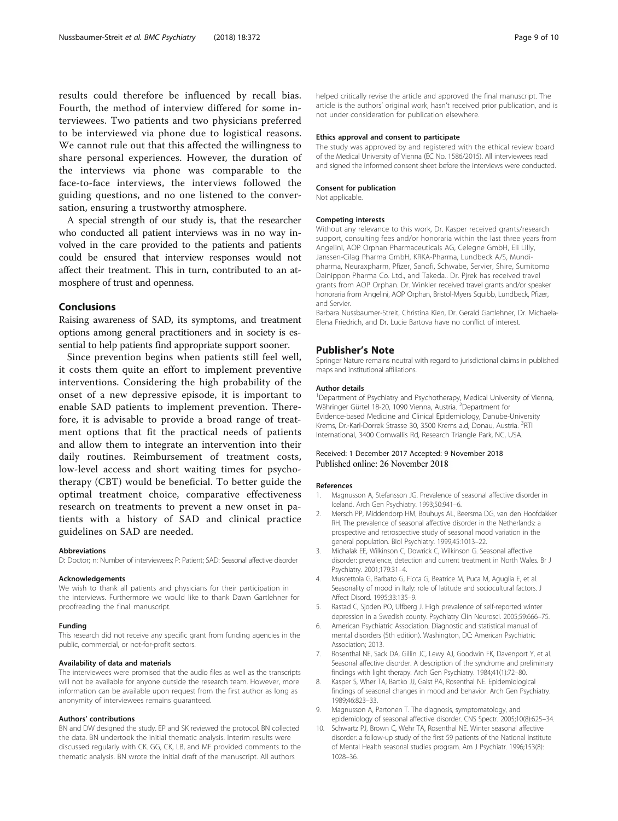<span id="page-8-0"></span>results could therefore be influenced by recall bias. Fourth, the method of interview differed for some interviewees. Two patients and two physicians preferred to be interviewed via phone due to logistical reasons. We cannot rule out that this affected the willingness to share personal experiences. However, the duration of the interviews via phone was comparable to the face-to-face interviews, the interviews followed the guiding questions, and no one listened to the conversation, ensuring a trustworthy atmosphere.

A special strength of our study is, that the researcher who conducted all patient interviews was in no way involved in the care provided to the patients and patients could be ensured that interview responses would not affect their treatment. This in turn, contributed to an atmosphere of trust and openness.

## Conclusions

Raising awareness of SAD, its symptoms, and treatment options among general practitioners and in society is essential to help patients find appropriate support sooner.

Since prevention begins when patients still feel well, it costs them quite an effort to implement preventive interventions. Considering the high probability of the onset of a new depressive episode, it is important to enable SAD patients to implement prevention. Therefore, it is advisable to provide a broad range of treatment options that fit the practical needs of patients and allow them to integrate an intervention into their daily routines. Reimbursement of treatment costs, low-level access and short waiting times for psychotherapy (CBT) would be beneficial. To better guide the optimal treatment choice, comparative effectiveness research on treatments to prevent a new onset in patients with a history of SAD and clinical practice guidelines on SAD are needed.

#### Abbreviations

D: Doctor; n: Number of interviewees; P: Patient; SAD: Seasonal affective disorder

#### Acknowledgements

We wish to thank all patients and physicians for their participation in the interviews. Furthermore we would like to thank Dawn Gartlehner for proofreading the final manuscript.

#### Funding

This research did not receive any specific grant from funding agencies in the public, commercial, or not-for-profit sectors.

#### Availability of data and materials

The interviewees were promised that the audio files as well as the transcripts will not be available for anyone outside the research team. However, more information can be available upon request from the first author as long as anonymity of interviewees remains guaranteed.

#### Authors' contributions

BN and DW designed the study. EP and SK reviewed the protocol. BN collected the data. BN undertook the initial thematic analysis. Interim results were discussed regularly with CK. GG, CK, LB, and MF provided comments to the thematic analysis. BN wrote the initial draft of the manuscript. All authors

helped critically revise the article and approved the final manuscript. The article is the authors' original work, hasn't received prior publication, and is not under consideration for publication elsewhere.

## Ethics approval and consent to participate

The study was approved by and registered with the ethical review board of the Medical University of Vienna (EC No. 1586/2015). All interviewees read and signed the informed consent sheet before the interviews were conducted.

#### Consent for publication

Not applicable.

#### Competing interests

Without any relevance to this work, Dr. Kasper received grants/research support, consulting fees and/or honoraria within the last three years from Angelini, AOP Orphan Pharmaceuticals AG, Celegne GmbH, Eli Lilly, Janssen-Cilag Pharma GmbH, KRKA-Pharma, Lundbeck A/S, Mundipharma, Neuraxpharm, Pfizer, Sanofi, Schwabe, Servier, Shire, Sumitomo Dainippon Pharma Co. Ltd., and Takeda.. Dr. Pjrek has received travel grants from AOP Orphan. Dr. Winkler received travel grants and/or speaker honoraria from Angelini, AOP Orphan, Bristol-Myers Squibb, Lundbeck, Pfizer, and Servier.

Barbara Nussbaumer-Streit, Christina Kien, Dr. Gerald Gartlehner, Dr. Michaela-Elena Friedrich, and Dr. Lucie Bartova have no conflict of interest.

## Publisher's Note

Springer Nature remains neutral with regard to jurisdictional claims in published maps and institutional affiliations.

## Author details

<sup>1</sup>Department of Psychiatry and Psychotherapy, Medical University of Vienna Währinger Gürtel 18-20, 1090 Vienna, Austria. <sup>2</sup>Department for Evidence-based Medicine and Clinical Epidemiology, Danube-University Krems, Dr.-Karl-Dorrek Strasse 30, 3500 Krems a.d, Donau, Austria. <sup>3</sup>RTI International, 3400 Cornwallis Rd, Research Triangle Park, NC, USA.

## Received: 1 December 2017 Accepted: 9 November 2018 Published online: 26 November 2018

#### References

- 1. Magnusson A, Stefansson JG. Prevalence of seasonal affective disorder in Iceland. Arch Gen Psychiatry. 1993;50:941–6.
- 2. Mersch PP, Middendorp HM, Bouhuys AL, Beersma DG, van den Hoofdakker RH. The prevalence of seasonal affective disorder in the Netherlands: a prospective and retrospective study of seasonal mood variation in the general population. Biol Psychiatry. 1999;45:1013–22.
- 3. Michalak EE, Wilkinson C, Dowrick C, Wilkinson G. Seasonal affective disorder: prevalence, detection and current treatment in North Wales. Br J Psychiatry. 2001;179:31–4.
- 4. Muscettola G, Barbato G, Ficca G, Beatrice M, Puca M, Aguglia E, et al. Seasonality of mood in Italy: role of latitude and sociocultural factors. J Affect Disord. 1995;33:135–9.
- 5. Rastad C, Sjoden PO, Ulfberg J. High prevalence of self-reported winter depression in a Swedish county. Psychiatry Clin Neurosci. 2005;59:666–75.
- 6. American Psychiatric Association. Diagnostic and statistical manual of mental disorders (5th edition). Washington, DC: American Psychiatric Association; 2013.
- 7. Rosenthal NE, Sack DA, Gillin JC, Lewy AJ, Goodwin FK, Davenport Y, et al. Seasonal affective disorder. A description of the syndrome and preliminary findings with light therapy. Arch Gen Psychiatry. 1984;41(1):72–80.
- 8. Kasper S, Wher TA, Bartko JJ, Gaist PA, Rosenthal NE. Epidemiological findings of seasonal changes in mood and behavior. Arch Gen Psychiatry. 1989;46:823–33.
- 9. Magnusson A, Partonen T. The diagnosis, symptomatology, and epidemiology of seasonal affective disorder. CNS Spectr. 2005;10(8):625–34.
- 10. Schwartz PJ, Brown C, Wehr TA, Rosenthal NE. Winter seasonal affective disorder: a follow-up study of the first 59 patients of the National Institute of Mental Health seasonal studies program. Am J Psychiatr. 1996;153(8): 1028–36.